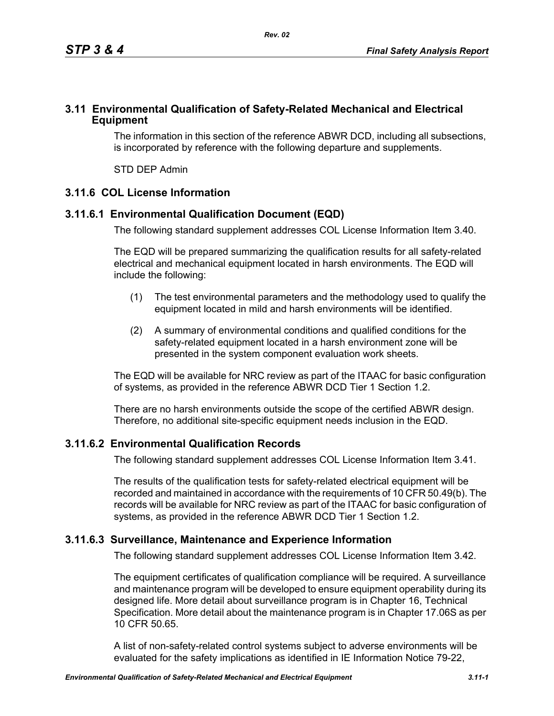### **3.11 Environmental Qualification of Safety-Related Mechanical and Electrical Equipment**

The information in this section of the reference ABWR DCD, including all subsections, is incorporated by reference with the following departure and supplements.

STD DEP Admin

# **3.11.6 COL License Information**

# **3.11.6.1 Environmental Qualification Document (EQD)**

The following standard supplement addresses COL License Information Item 3.40.

The EQD will be prepared summarizing the qualification results for all safety-related electrical and mechanical equipment located in harsh environments. The EQD will include the following:

- (1) The test environmental parameters and the methodology used to qualify the equipment located in mild and harsh environments will be identified.
- (2) A summary of environmental conditions and qualified conditions for the safety-related equipment located in a harsh environment zone will be presented in the system component evaluation work sheets.

The EQD will be available for NRC review as part of the ITAAC for basic configuration of systems, as provided in the reference ABWR DCD Tier 1 Section 1.2.

There are no harsh environments outside the scope of the certified ABWR design. Therefore, no additional site-specific equipment needs inclusion in the EQD.

## **3.11.6.2 Environmental Qualification Records**

The following standard supplement addresses COL License Information Item 3.41.

The results of the qualification tests for safety-related electrical equipment will be recorded and maintained in accordance with the requirements of 10 CFR 50.49(b). The records will be available for NRC review as part of the ITAAC for basic configuration of systems, as provided in the reference ABWR DCD Tier 1 Section 1.2.

## **3.11.6.3 Surveillance, Maintenance and Experience Information**

The following standard supplement addresses COL License Information Item 3.42.

The equipment certificates of qualification compliance will be required. A surveillance and maintenance program will be developed to ensure equipment operability during its designed life. More detail about surveillance program is in Chapter 16, Technical Specification. More detail about the maintenance program is in Chapter 17.06S as per 10 CFR 50.65.

A list of non-safety-related control systems subject to adverse environments will be evaluated for the safety implications as identified in IE Information Notice 79-22,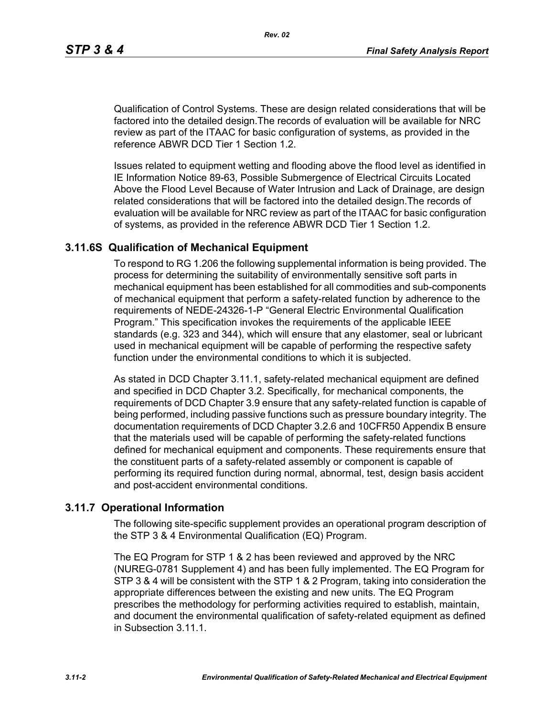Qualification of Control Systems. These are design related considerations that will be factored into the detailed design.The records of evaluation will be available for NRC review as part of the ITAAC for basic configuration of systems, as provided in the reference ABWR DCD Tier 1 Section 1.2.

Issues related to equipment wetting and flooding above the flood level as identified in IE Information Notice 89-63, Possible Submergence of Electrical Circuits Located Above the Flood Level Because of Water Intrusion and Lack of Drainage, are design related considerations that will be factored into the detailed design.The records of evaluation will be available for NRC review as part of the ITAAC for basic configuration of systems, as provided in the reference ABWR DCD Tier 1 Section 1.2.

#### **3.11.6S Qualification of Mechanical Equipment**

To respond to RG 1.206 the following supplemental information is being provided. The process for determining the suitability of environmentally sensitive soft parts in mechanical equipment has been established for all commodities and sub-components of mechanical equipment that perform a safety-related function by adherence to the requirements of NEDE-24326-1-P "General Electric Environmental Qualification Program." This specification invokes the requirements of the applicable IEEE standards (e.g. 323 and 344), which will ensure that any elastomer, seal or lubricant used in mechanical equipment will be capable of performing the respective safety function under the environmental conditions to which it is subjected.

As stated in DCD Chapter 3.11.1, safety-related mechanical equipment are defined and specified in DCD Chapter 3.2. Specifically, for mechanical components, the requirements of DCD Chapter 3.9 ensure that any safety-related function is capable of being performed, including passive functions such as pressure boundary integrity. The documentation requirements of DCD Chapter 3.2.6 and 10CFR50 Appendix B ensure that the materials used will be capable of performing the safety-related functions defined for mechanical equipment and components. These requirements ensure that the constituent parts of a safety-related assembly or component is capable of performing its required function during normal, abnormal, test, design basis accident and post-accident environmental conditions.

#### **3.11.7 Operational Information**

The following site-specific supplement provides an operational program description of the STP 3 & 4 Environmental Qualification (EQ) Program.

The EQ Program for STP 1 & 2 has been reviewed and approved by the NRC (NUREG-0781 Supplement 4) and has been fully implemented. The EQ Program for STP 3 & 4 will be consistent with the STP 1 & 2 Program, taking into consideration the appropriate differences between the existing and new units. The EQ Program prescribes the methodology for performing activities required to establish, maintain, and document the environmental qualification of safety-related equipment as defined in Subsection 3.11.1.